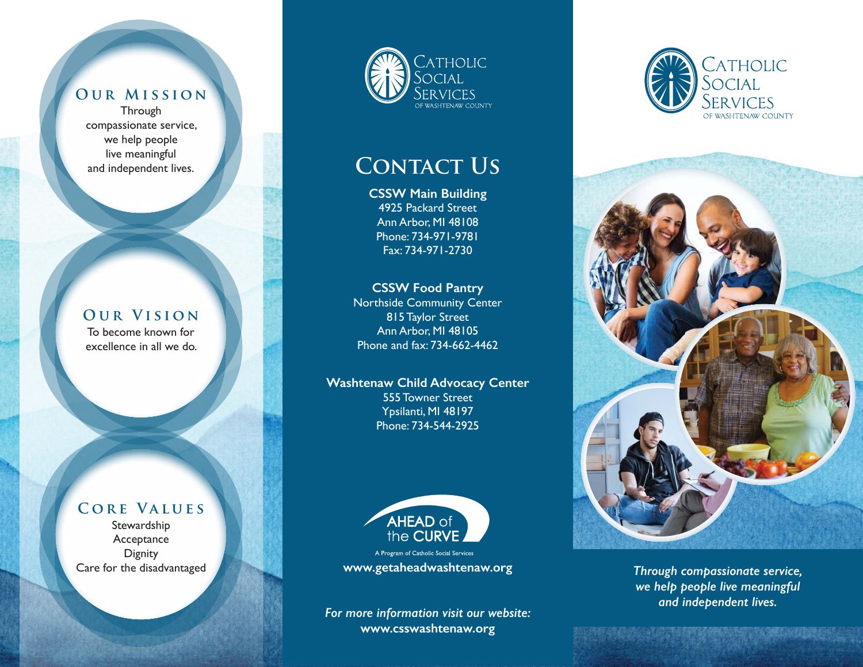## **Our Mission**

**Through** compassionate service, we help people live meaningful and independent lives.

#### **Our Vision** To become known for excellence in all we do.

## **Core Values**

Stewardship Acceptance **Dignity** Care for the disadvantaged



# **CONTACT US**

**CSSW Main Building** 4925 Packard Street Ann Arbor, MI 48108 Phone: 734-971-9781 Fax: 734-971-2730

### **CSSW Food Pantry**

Northside Community Center 815 Taylor Street Ann Arbor, MI 48105 Phone and fax: 734-662-4462

#### **Washtenaw Child Advocacy Center**

555 Towner Street Ypsilanti, MI 48197 Phone: 734-544-2925



**www.getaheadwashtenaw.org**

*For more information visit our website:* **www.csswashtenaw.org**





*Through compassionate service, we help people live meaningful and independent lives.*